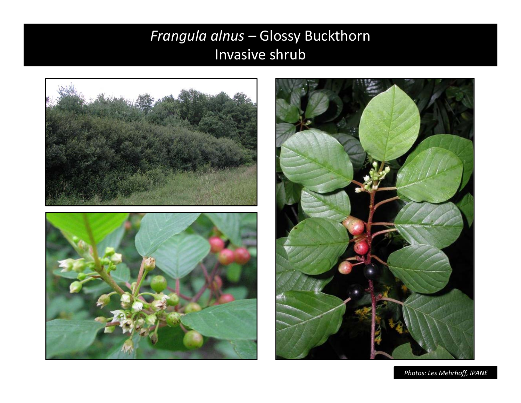# Frangula alnus - Glossy Buckthorn Invasive shrub



Photos: Les Mehrhoff, IPANE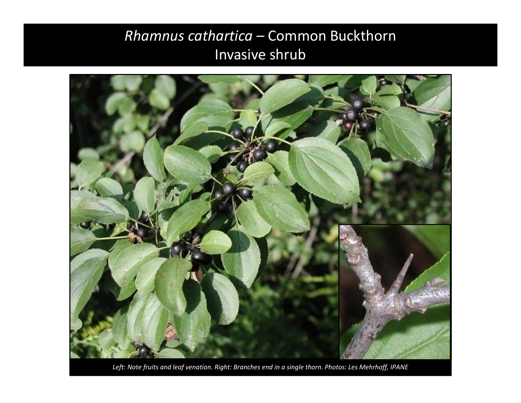## *Rhamnus cathartica –* Common Buckthorn Invasive shrub



*Left: Note fruits and leaf venation. Right: Branches end in <sup>a</sup> single thorn. Photos: Les Mehrhoff, IPANE*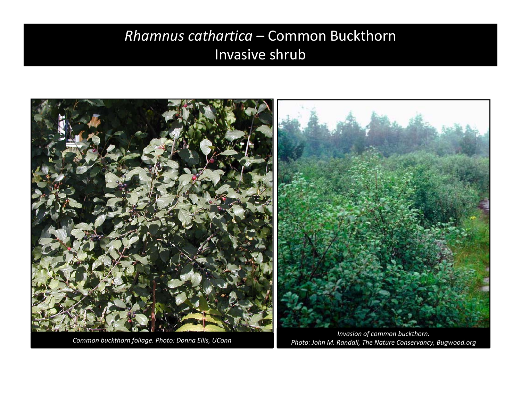## *Rhamnus cathartica –* Common Buckthorn Invasive shrub



*Photo: John M. Randall, The Nature Conservancy, Bugwood.org*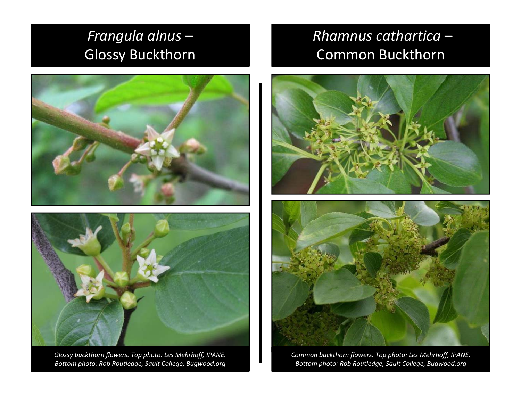# *Frangula alnus* – Glossy Buckthorn



*Glossy buckthorn flowers. Top photo: Les Mehrhoff, IPANE. Bottom photo: Rob Routledge, Sault College, Bugwood.org*

## *Rhamnus cathartica* – Common Buckthorn





*Common buckthorn flowers. Top photo: Les Mehrhoff, IPANE. Bottom photo: Rob Routledge, Sault College, Bugwood.org*